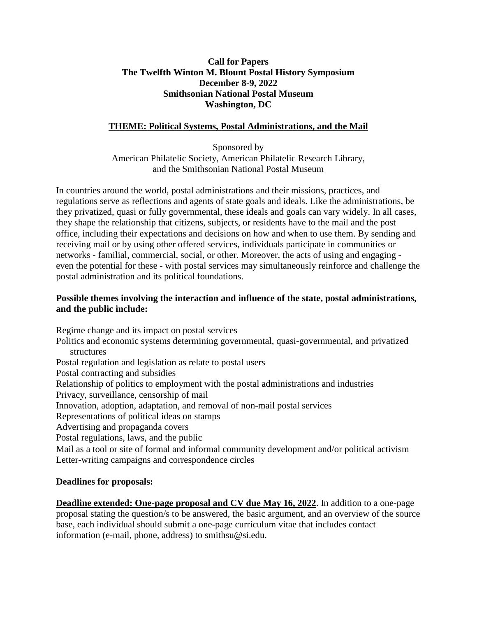## **Smithsonian National Postal Museum Washington, DC Call for Papers The Twelfth Winton M. Blount Postal History Symposium December 8-9, 2022**

## **THEME: Political Systems, Postal Administrations, and the Mail**

 American Philatelic Society, American Philatelic Research Library, Sponsored by and the Smithsonian National Postal Museum

 regulations serve as reflections and agents of state goals and ideals. Like the administrations, be they shape the relationship that citizens, subjects, or residents have to the mail and the post networks - familial, commercial, social, or other. Moreover, the acts of using and engaging - even the potential for these - with postal services may simultaneously reinforce and challenge the In countries around the world, postal administrations and their missions, practices, and they privatized, quasi or fully governmental, these ideals and goals can vary widely. In all cases, office, including their expectations and decisions on how and when to use them. By sending and receiving mail or by using other offered services, individuals participate in communities or postal administration and its political foundations.

## **Possible themes involving the interaction and influence of the state, postal administrations, and the public include:**

Postal contracting and subsidies Advertising and propaganda covers Regime change and its impact on postal services Politics and economic systems determining governmental, quasi-governmental, and privatized structures Postal regulation and legislation as relate to postal users Relationship of politics to employment with the postal administrations and industries Privacy, surveillance, censorship of mail Innovation, adoption, adaptation, and removal of non-mail postal services Representations of political ideas on stamps Postal regulations, laws, and the public

 Mail as a tool or site of formal and informal community development and/or political activism Letter-writing campaigns and correspondence circles

## **Deadlines for proposals:**

**Deadlines for proposals:<br><mark>Deadline extended: One-page proposal and CV due May 16, 2022</mark>. In addition to a one-page**  proposal stating the question/s to be answered, the basic argument, and an overview of the source information (e-mail, phone, address) to [smithsu@si.edu.](mailto:smithsu@si.edu) base, each individual should submit a one-page curriculum vitae that includes contact